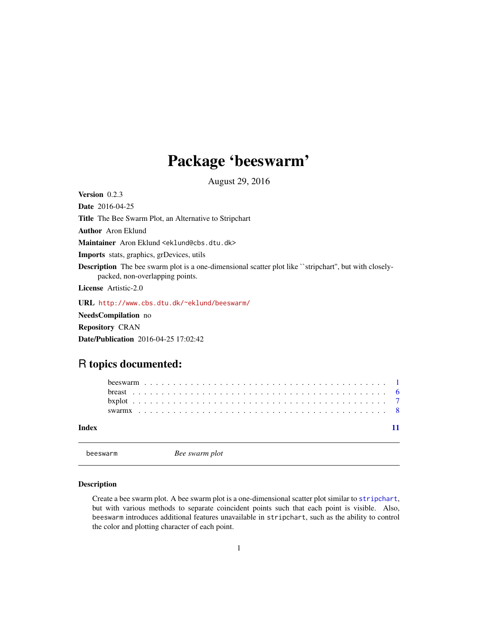## <span id="page-0-0"></span>Package 'beeswarm'

August 29, 2016

<span id="page-0-1"></span>Version 0.2.3

Date 2016-04-25

Title The Bee Swarm Plot, an Alternative to Stripchart

Author Aron Eklund

Maintainer Aron Eklund <eklund@cbs.dtu.dk>

Imports stats, graphics, grDevices, utils

Description The bee swarm plot is a one-dimensional scatter plot like ``stripchart'', but with closelypacked, non-overlapping points.

License Artistic-2.0

URL <http://www.cbs.dtu.dk/~eklund/beeswarm/>

NeedsCompilation no

Repository CRAN

Date/Publication 2016-04-25 17:02:42

### R topics documented:

| Index |  |  |  |  |  |  |  |  |  |  |  |  |  |  |  |  |  |  |  |  |  |  |  |
|-------|--|--|--|--|--|--|--|--|--|--|--|--|--|--|--|--|--|--|--|--|--|--|--|

<span id="page-0-2"></span>beeswarm *Bee swarm plot*

#### Description

Create a bee swarm plot. A bee swarm plot is a one-dimensional scatter plot similar to stripchart, but with various methods to separate coincident points such that each point is visible. Also, beeswarm introduces additional features unavailable in stripchart, such as the ability to control the color and plotting character of each point.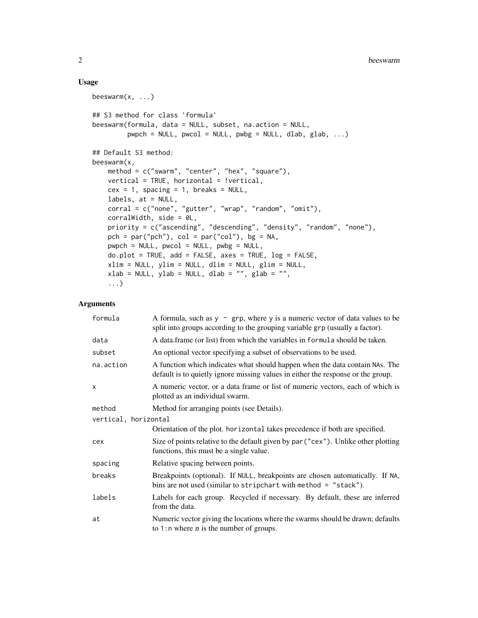#### Usage

```
beeswarm(x, \ldots)## S3 method for class 'formula'
beeswarm(formula, data = NULL, subset, na.action = NULL,
         pwpch = NULL, pwcol = NULL, pwbg = NULL, dlab, glab, ...)
## Default S3 method:
beeswarm(x,
   method = c("swarm", "center", "hex", "square"),
   vertical = TRUE, horizontal = !vertical,
   cex = 1, spacing = 1, breaks = NULL,
   labels, at = NULL,
   corral = c("none", "gutter", "wrap", "random", "omit"),
    corralWidth, side = 0L,
   priority = c("ascending", "descending", "density", "random", "none"),
   pch = par("pch"), col = par("col"), bg = NA,
   pwpch = NULL, pwcol = NULL, pwbg = NULL,
   do.plot = TRUE, add = FALSE, axes = TRUE, log = FALSE,
   xlim = NULL, ylim = NULL, dlim = NULL, glim = NULL,
    xlab = NULL, ylab = NULL, dlab = "", glab = "",
    ...)
```
#### Arguments

| formula              | A formula, such as $y \sim grp$ , where y is a numeric vector of data values to be<br>split into groups according to the grouping variable grp (usually a factor). |
|----------------------|--------------------------------------------------------------------------------------------------------------------------------------------------------------------|
| data                 | A data frame (or list) from which the variables in formula should be taken.                                                                                        |
| subset               | An optional vector specifying a subset of observations to be used.                                                                                                 |
| na.action            | A function which indicates what should happen when the data contain NAs. The<br>default is to quietly ignore missing values in either the response or the group.   |
| X                    | A numeric vector, or a data frame or list of numeric vectors, each of which is<br>plotted as an individual swarm.                                                  |
| method               | Method for arranging points (see Details).                                                                                                                         |
| vertical, horizontal |                                                                                                                                                                    |
|                      | Orientation of the plot. horizontal takes precedence if both are specified.                                                                                        |
| cex                  | Size of points relative to the default given by par ("cex"). Unlike other plotting<br>functions, this must be a single value.                                      |
| spacing              | Relative spacing between points.                                                                                                                                   |
| breaks               | Breakpoints (optional). If NULL, breakpoints are chosen automatically. If NA,<br>bins are not used (similar to stripchart with method = "stack").                  |
| labels               | Labels for each group. Recycled if necessary. By default, these are inferred<br>from the data.                                                                     |
| at                   | Numeric vector giving the locations where the swarms should be drawn; defaults<br>to 1:n where $n$ is the number of groups.                                        |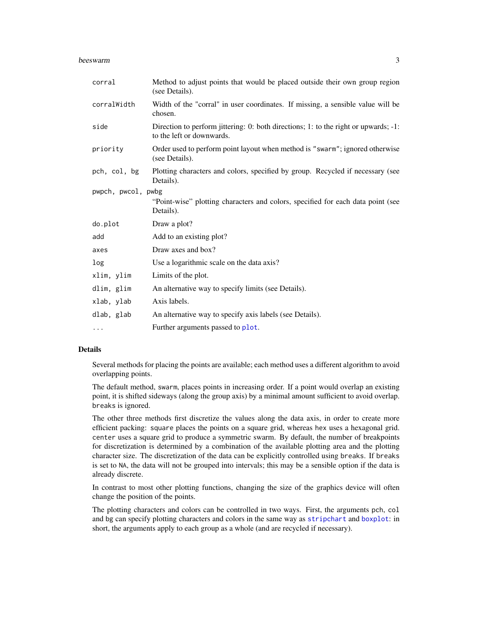#### <span id="page-2-0"></span>beeswarm 3

| corral             | Method to adjust points that would be placed outside their own group region<br>(see Details).                    |
|--------------------|------------------------------------------------------------------------------------------------------------------|
| corralWidth        | Width of the "corral" in user coordinates. If missing, a sensible value will be<br>chosen.                       |
| side               | Direction to perform jittering: 0: both directions; 1: to the right or upwards; -1:<br>to the left or downwards. |
| priority           | Order used to perform point layout when method is "swarm"; ignored otherwise<br>(see Details).                   |
| pch, col, bg       | Plotting characters and colors, specified by group. Recycled if necessary (see<br>Details).                      |
| pwpch, pwcol, pwbg |                                                                                                                  |
|                    | "Point-wise" plotting characters and colors, specified for each data point (see<br>Details).                     |
| do.plot            | Draw a plot?                                                                                                     |
| add                | Add to an existing plot?                                                                                         |
| axes               | Draw axes and box?                                                                                               |
| log                | Use a logarithmic scale on the data axis?                                                                        |
| xlim, ylim         | Limits of the plot.                                                                                              |
| dlim, glim         | An alternative way to specify limits (see Details).                                                              |
| xlab, ylab         | Axis labels.                                                                                                     |
| dlab, glab         | An alternative way to specify axis labels (see Details).                                                         |
| $\cdots$           | Further arguments passed to plot.                                                                                |

#### Details

Several methods for placing the points are available; each method uses a different algorithm to avoid overlapping points.

The default method, swarm, places points in increasing order. If a point would overlap an existing point, it is shifted sideways (along the group axis) by a minimal amount sufficient to avoid overlap. breaks is ignored.

The other three methods first discretize the values along the data axis, in order to create more efficient packing: square places the points on a square grid, whereas hex uses a hexagonal grid. center uses a square grid to produce a symmetric swarm. By default, the number of breakpoints for discretization is determined by a combination of the available plotting area and the plotting character size. The discretization of the data can be explicitly controlled using breaks. If breaks is set to NA, the data will not be grouped into intervals; this may be a sensible option if the data is already discrete.

In contrast to most other plotting functions, changing the size of the graphics device will often change the position of the points.

The plotting characters and colors can be controlled in two ways. First, the arguments pch, col and bg can specify plotting characters and colors in the same way as [stripchart](#page-0-1) and [boxplot](#page-0-1): in short, the arguments apply to each group as a whole (and are recycled if necessary).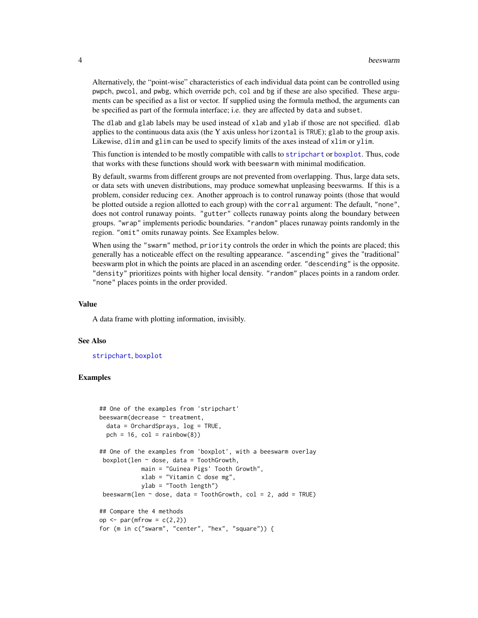<span id="page-3-0"></span>Alternatively, the "point-wise" characteristics of each individual data point can be controlled using pwpch, pwcol, and pwbg, which override pch, col and bg if these are also specified. These arguments can be specified as a list or vector. If supplied using the formula method, the arguments can be specified as part of the formula interface; i.e. they are affected by data and subset.

The dlab and glab labels may be used instead of xlab and ylab if those are not specified. dlab applies to the continuous data axis (the Y axis unless horizontal is TRUE); glab to the group axis. Likewise, dlim and glim can be used to specify limits of the axes instead of xlim or ylim.

This function is intended to be mostly compatible with calls to [stripchart](#page-0-1) or [boxplot](#page-0-1). Thus, code that works with these functions should work with beeswarm with minimal modification.

By default, swarms from different groups are not prevented from overlapping. Thus, large data sets, or data sets with uneven distributions, may produce somewhat unpleasing beeswarms. If this is a problem, consider reducing cex. Another approach is to control runaway points (those that would be plotted outside a region allotted to each group) with the corral argument: The default, "none", does not control runaway points. "gutter" collects runaway points along the boundary between groups. "wrap" implements periodic boundaries. "random" places runaway points randomly in the region. "omit" omits runaway points. See Examples below.

When using the "swarm" method, priority controls the order in which the points are placed; this generally has a noticeable effect on the resulting appearance. "ascending" gives the "traditional" beeswarm plot in which the points are placed in an ascending order. "descending" is the opposite. "density" prioritizes points with higher local density. "random" places points in a random order. "none" places points in the order provided.

#### Value

A data frame with plotting information, invisibly.

#### See Also

[stripchart](#page-0-1), [boxplot](#page-0-1)

#### Examples

```
## One of the examples from 'stripchart'
beeswarm(decrease ~ treatment,
  data = OrchardSprays, log = TRUE,
  pch = 16, col = rainbow(8))
## One of the examples from 'boxplot', with a beeswarm overlay
 boxplot(len ~ dose, data = ToothGrowth,
           main = "Guinea Pigs' Tooth Growth",
            xlab = "Vitamin C dose mg",
            ylab = "Tooth length")
 beeswarm(len \sim dose, data = ToothGrowth, col = 2, add = TRUE)
## Compare the 4 methods
op \leq par(mfrow = c(2,2))
for (m in c("swarm", "center", "hex", "square")) {
```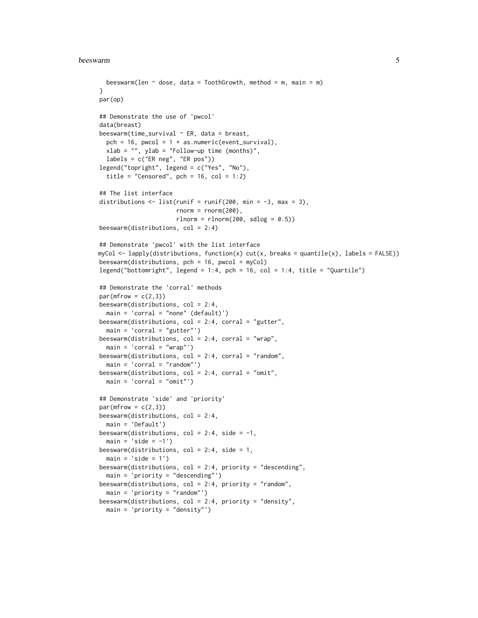#### beeswarm 5

```
beeswarm(len \sim dose, data = ToothGrowth, method = m, main = m)
}
par(op)
## Demonstrate the use of 'pwcol'
data(breast)
beeswarm(time_survival ~\sim ER, data = breast,
  pch = 16, pwcol = 1 + as.numeric(event_survival),
  xlab = "", ylab = "Follow-up time (months)",labels = c("ER neg", "ER pos"))
legend("topright", legend = c("Yes", "No"),
  title = "Censored", pch = 16, col = 1:2)
## The list interface
distributions \leq 1 ist(runif = runif(200, min = -3, max = 3),
                      rnorm = rnorm(200),
                      rlnorm = rlnorm(200, sdlog = 0.5)beeswarm(distributions, col = 2:4)
## Demonstrate 'pwcol' with the list interface
myCol <- lapply(distributions, function(x) cut(x, breaks = quantile(x), labels = FALSE))
beeswarm(distributions, pch = 16, pwcol = myCol)
legend("bottomright", legend = 1:4, pch = 16, col = 1:4, title = "Quartile")
## Demonstrate the 'corral' methods
par(mfrow = c(2,3))beeswarm(distributions, col = 2:4,
  main = 'corral = "none" (default)')
beeswarm(distributions, col = 2:4, corral = "gutter",
  main = 'corral = "gutter"')
beeswarm(distributions, col = 2:4, corral = "wrap",main = 'corral = "wrap"')beeswarm(distributions, col = 2:4, corral = "random",main = 'corral = "random'')beeswarm(distributions, col = 2:4, corral = "omit",main = 'corral = "omit'')## Demonstrate 'side' and 'priority'
par(mfrow = c(2,3))beeswarm(distributions, col = 2:4,
  main = 'Default')
beeswarm(distributions, col = 2:4, side = -1,
  main = 'side = -1')beeswarm(distributions, col = 2:4, side = 1,
  main = 'side = 1')beeswarm(distributions, col = 2:4, priority = "descending",
  main = 'priority = "descending"')
beeswarm(distributions, col = 2:4, priority = "random",
  main = 'priority = "random"')
beeswarm(distributions, col = 2:4, priority = "density",
  main = 'priority = "density"')
```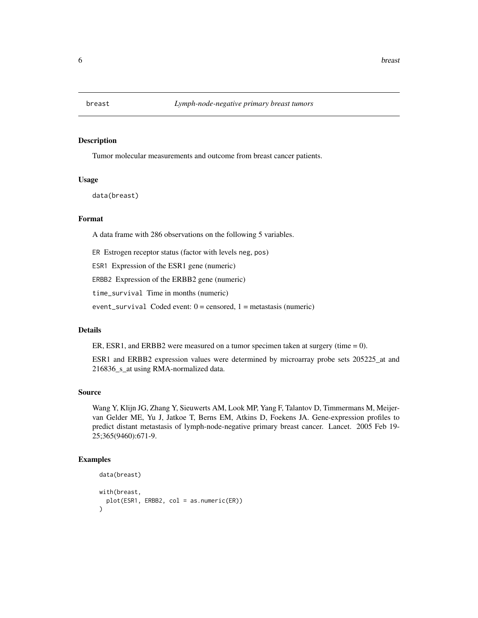<span id="page-5-0"></span>

#### Description

Tumor molecular measurements and outcome from breast cancer patients.

#### Usage

data(breast)

#### Format

A data frame with 286 observations on the following 5 variables.

ER Estrogen receptor status (factor with levels neg, pos)

ESR1 Expression of the ESR1 gene (numeric)

ERBB2 Expression of the ERBB2 gene (numeric)

time\_survival Time in months (numeric)

event\_survival Coded event:  $0 =$  censored,  $1 =$  metastasis (numeric)

#### Details

ER, ESR1, and ERBB2 were measured on a tumor specimen taken at surgery (time  $= 0$ ).

ESR1 and ERBB2 expression values were determined by microarray probe sets 205225\_at and 216836\_s\_at using RMA-normalized data.

#### Source

Wang Y, Klijn JG, Zhang Y, Sieuwerts AM, Look MP, Yang F, Talantov D, Timmermans M, Meijervan Gelder ME, Yu J, Jatkoe T, Berns EM, Atkins D, Foekens JA. Gene-expression profiles to predict distant metastasis of lymph-node-negative primary breast cancer. Lancet. 2005 Feb 19- 25;365(9460):671-9.

#### Examples

```
data(breast)
with(breast,
  plot(ESR1, ERBB2, col = as.numeric(ER))
\lambda
```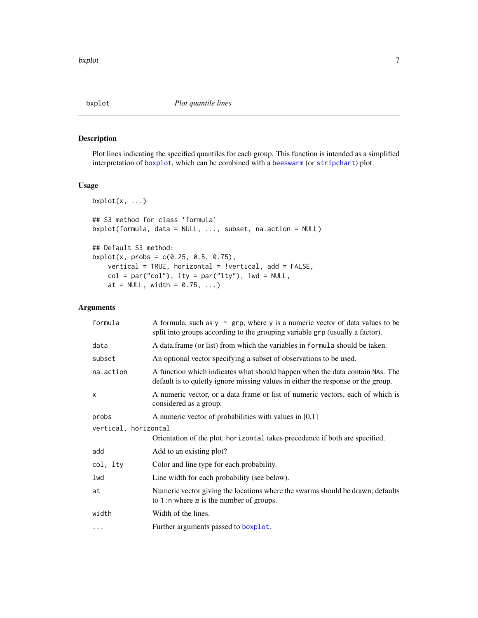<span id="page-6-0"></span>

#### Description

Plot lines indicating the specified quantiles for each group. This function is intended as a simplified interpretation of [boxplot](#page-0-1), which can be combined with a [beeswarm](#page-0-2) (or [stripchart](#page-0-1)) plot.

#### Usage

```
bxplot(x, \ldots)## S3 method for class 'formula'
bxplot(formula, data = NULL, ..., subset, na.action = NULL)
## Default S3 method:
bxplot(x, probs = c(0.25, 0.5, 0.75),
    vertical = TRUE, horizontal = !vertical, add = FALSE,
   col = par("col"), lty = par("lty"), lwd = NULL,at = NULL, width = 0.75, ...)
```
#### Arguments

| formula              | A formula, such as $y \sim grp$ , where y is a numeric vector of data values to be<br>split into groups according to the grouping variable grp (usually a factor). |
|----------------------|--------------------------------------------------------------------------------------------------------------------------------------------------------------------|
| data                 | A data frame (or list) from which the variables in formula should be taken.                                                                                        |
| subset               | An optional vector specifying a subset of observations to be used.                                                                                                 |
| na.action            | A function which indicates what should happen when the data contain NAs. The<br>default is to quietly ignore missing values in either the response or the group.   |
| X                    | A numeric vector, or a data frame or list of numeric vectors, each of which is<br>considered as a group.                                                           |
| probs                | A numeric vector of probabilities with values in $[0,1]$                                                                                                           |
| vertical, horizontal |                                                                                                                                                                    |
|                      | Orientation of the plot. horizontal takes precedence if both are specified.                                                                                        |
| add                  | Add to an existing plot?                                                                                                                                           |
| col, lty             | Color and line type for each probability.                                                                                                                          |
| lwd                  | Line width for each probability (see below).                                                                                                                       |
| at                   | Numeric vector giving the locations where the swarms should be drawn; defaults<br>to 1:n where $n$ is the number of groups.                                        |
| width                | Width of the lines.                                                                                                                                                |
| .                    | Further arguments passed to boxplot.                                                                                                                               |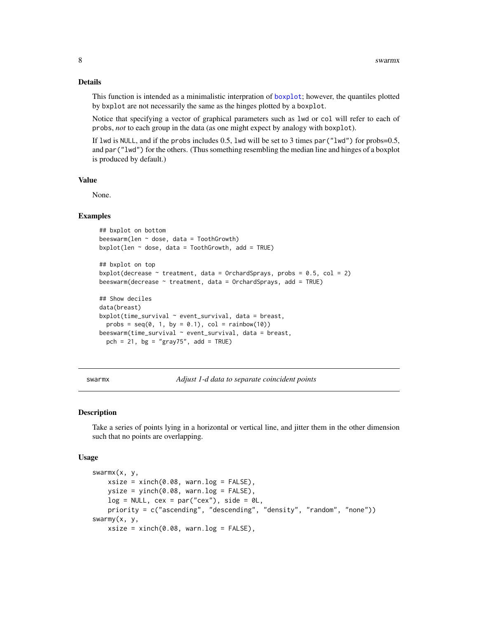#### Details

This function is intended as a minimalistic interpration of [boxplot](#page-0-1); however, the quantiles plotted by bxplot are not necessarily the same as the hinges plotted by a boxplot.

Notice that specifying a vector of graphical parameters such as lwd or col will refer to each of probs, *not* to each group in the data (as one might expect by analogy with boxplot).

If lwd is NULL, and if the probs includes 0.5, lwd will be set to 3 times par( $"lwd"$ ) for probs=0.5, and par("lwd") for the others. (Thus something resembling the median line and hinges of a boxplot is produced by default.)

#### Value

None.

#### Examples

```
## bxplot on bottom
beeswarm(len \sim dose, data = ToothGrowth)
bxplot(len \sim dose, data = ToothGrowth, add = TRUE)
## bxplot on top
bxplot(decrease \sim treatment, data = OrchardSprays, probs = 0.5, col = 2)
beeswarm(decrease \sim treatment, data = OrchardSprays, add = TRUE)
## Show deciles
data(breast)
bxplot(time_survival \sim event_survival, data = breast,
  probs = seq(0, 1, by = 0.1), col = rainbow(10)beeswarm(time_survival ~ event_survival, data = breast,
  pch = 21, bg = "gray75", add = TRUE)
```
swarmx *Adjust 1-d data to separate coincident points*

#### Description

Take a series of points lying in a horizontal or vertical line, and jitter them in the other dimension such that no points are overlapping.

#### Usage

```
swarmx(x, y,
    xsize = xinch(0.08, warn.log = FALSE),
    ysize = yinch(0.08, warn.log = FALSE),
    log = NULL, cex = par("cex"), side = 0L,
    priority = c("ascending", "descending", "density", "random", "none"))
swarmy(x, y,
    xsize = xinch(0.08, warn.log = FALSE),
```
<span id="page-7-0"></span>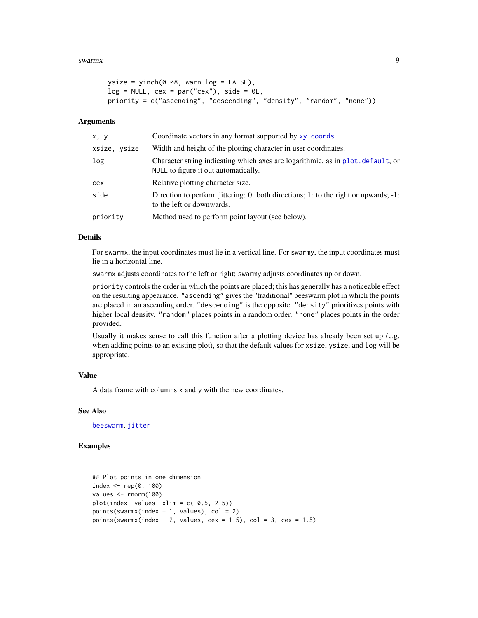#### <span id="page-8-0"></span>swarmx 9

```
ysize = yinch(0.08, warn.log = FALSE),
log = NULL, cex = par("cex"), side = 0L,
priority = c("ascending", "descending", "density", "random", "none"))
```
#### Arguments

| x, y         | Coordinate vectors in any format supported by xy. coords.                                                               |
|--------------|-------------------------------------------------------------------------------------------------------------------------|
| xsize, ysize | Width and height of the plotting character in user coordinates.                                                         |
| log          | Character string indicating which axes are logarithmic, as in plot. default, or<br>NULL to figure it out automatically. |
| cex          | Relative plotting character size.                                                                                       |
| side         | Direction to perform jittering: 0: both directions; 1: to the right or upwards; -1:<br>to the left or downwards.        |
| priority     | Method used to perform point layout (see below).                                                                        |

#### Details

For swarmx, the input coordinates must lie in a vertical line. For swarmy, the input coordinates must lie in a horizontal line.

swarmx adjusts coordinates to the left or right; swarmy adjusts coordinates up or down.

priority controls the order in which the points are placed; this has generally has a noticeable effect on the resulting appearance. "ascending" gives the "traditional" beeswarm plot in which the points are placed in an ascending order. "descending" is the opposite. "density" prioritizes points with higher local density. "random" places points in a random order. "none" places points in the order provided.

Usually it makes sense to call this function after a plotting device has already been set up (e.g. when adding points to an existing plot), so that the default values for xsize, ysize, and log will be appropriate.

#### Value

A data frame with columns x and y with the new coordinates.

#### See Also

[beeswarm](#page-0-2), [jitter](#page-0-1)

#### Examples

```
## Plot points in one dimension
index \leq rep(0, 100)
values <- rnorm(100)
plot(index, values, xlim = c(-0.5, 2.5))points(swarmx(index + 1, values), col = 2)
points(swarmx(index + 2, values, cex = 1.5), col = 3, cex = 1.5)
```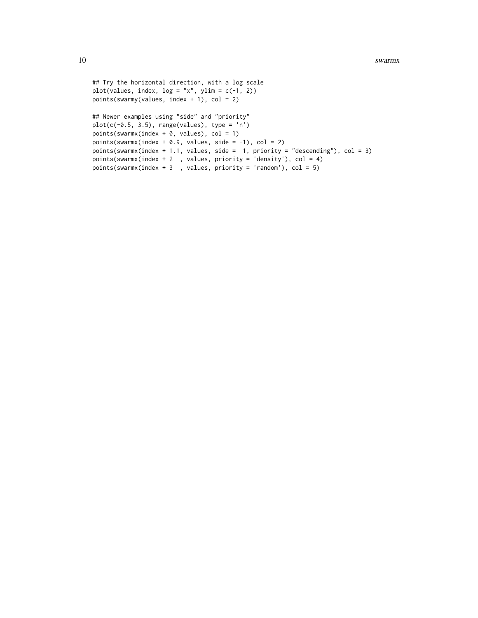```
## Try the horizontal direction, with a log scale
plot(values, index, log = "x", ylim = c(-1, 2))
points(swarmy(values, index + 1), col = 2)
## Newer examples using "side" and "priority"
plot(c(-0.5, 3.5), range(values), type = 'n')points(swarmx(index + \theta, values), col = 1)
points(swarmx(index + 0.9, values, side = -1), col = 2)
points(swarmx(index + 1.1, values, side = 1, priority = "descending"), col = 3)
points(swarmx(index + 2 , values, priority = 'density'), col = 4)
points(swarmx(index + 3 , values, priority = 'random'), col = 5)
```